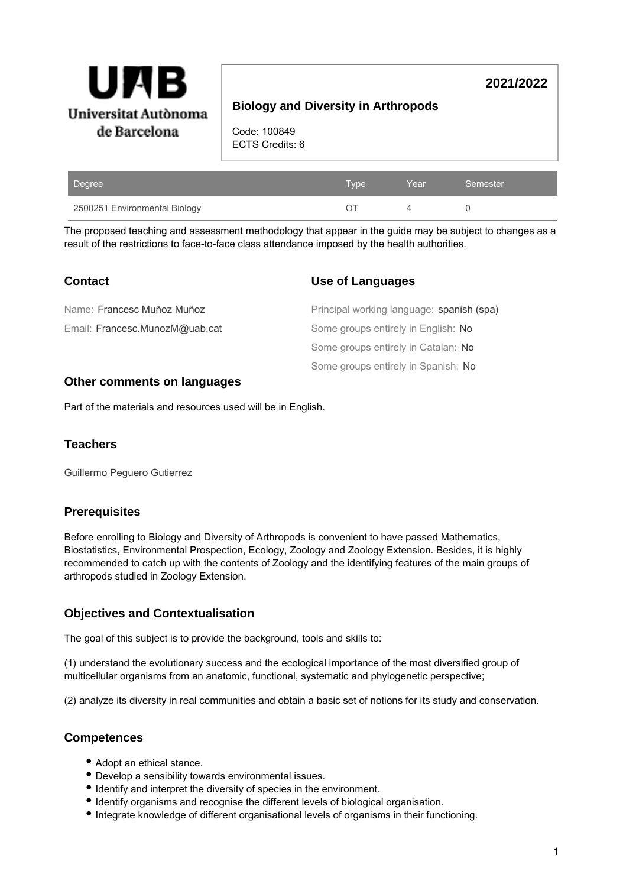

# **2021/2022**

# **Biology and Diversity in Arthropods**

Code: 100849 ECTS Credits: 6

| Degree                        | Type' | Year | 'Semester |
|-------------------------------|-------|------|-----------|
| 2500251 Environmental Biology |       |      |           |

The proposed teaching and assessment methodology that appear in the guide may be subject to changes as a result of the restrictions to face-to-face class attendance imposed by the health authorities.

| <b>Contact</b>                 | Use of Languages                          |
|--------------------------------|-------------------------------------------|
| Name: Francesc Muñoz Muñoz     | Principal working language: spanish (spa) |
| Email: Francesc.MunozM@uab.cat | Some groups entirely in English: No       |
|                                | Some groups entirely in Catalan: No       |
|                                | Some groups entirely in Spanish: No       |

### **Other comments on languages**

Part of the materials and resources used will be in English.

### **Teachers**

Guillermo Peguero Gutierrez

## **Prerequisites**

Before enrolling to Biology and Diversity of Arthropods is convenient to have passed Mathematics, Biostatistics, Environmental Prospection, Ecology, Zoology and Zoology Extension. Besides, it is highly recommended to catch up with the contents of Zoology and the identifying features of the main groups of arthropods studied in Zoology Extension.

## **Objectives and Contextualisation**

The goal of this subject is to provide the background, tools and skills to:

(1) understand the evolutionary success and the ecological importance of the most diversified group of multicellular organisms from an anatomic, functional, systematic and phylogenetic perspective;

(2) analyze its diversity in real communities and obtain a basic set of notions for its study and conservation.

# **Competences**

- Adopt an ethical stance.
- Develop a sensibility towards environmental issues.
- Identify and interpret the diversity of species in the environment.
- Identify organisms and recognise the different levels of biological organisation.
- $\bullet$  Integrate knowledge of different organisational levels of organisms in their functioning.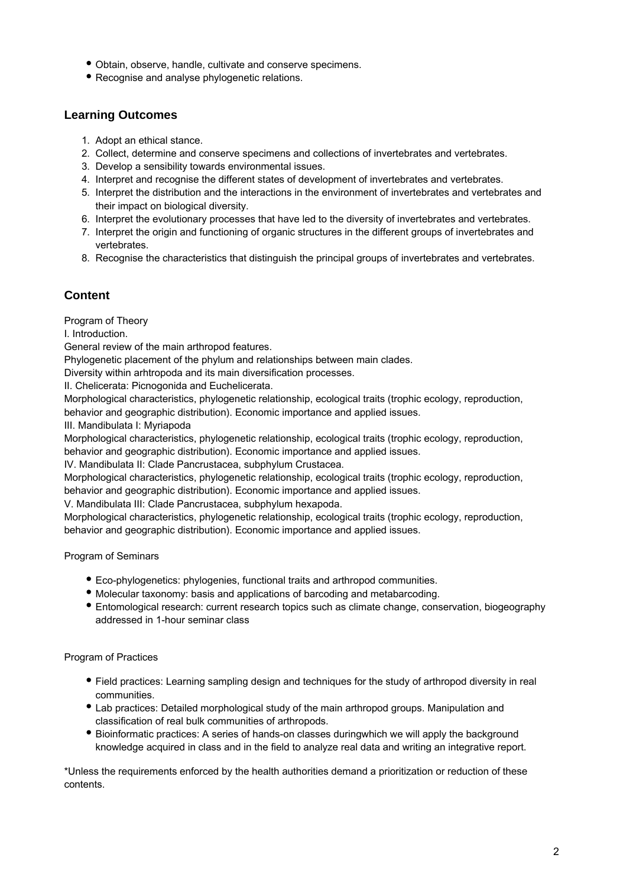- Obtain, observe, handle, cultivate and conserve specimens.
- Recognise and analyse phylogenetic relations.

## **Learning Outcomes**

- 1. Adopt an ethical stance.
- 2. Collect, determine and conserve specimens and collections of invertebrates and vertebrates.
- 3. Develop a sensibility towards environmental issues.
- 4. Interpret and recognise the different states of development of invertebrates and vertebrates.
- 5. Interpret the distribution and the interactions in the environment of invertebrates and vertebrates and their impact on biological diversity.
- 6. Interpret the evolutionary processes that have led to the diversity of invertebrates and vertebrates.
- 7. Interpret the origin and functioning of organic structures in the different groups of invertebrates and vertebrates.
- 8. Recognise the characteristics that distinguish the principal groups of invertebrates and vertebrates.

## **Content**

Program of Theory

I. Introduction.

General review of the main arthropod features.

Phylogenetic placement of the phylum and relationships between main clades.

Diversity within arhtropoda and its main diversification processes.

II. Chelicerata: Picnogonida and Euchelicerata.

Morphological characteristics, phylogenetic relationship, ecological traits (trophic ecology, reproduction, behavior and geographic distribution). Economic importance and applied issues.

III. Mandibulata I: Myriapoda

Morphological characteristics, phylogenetic relationship, ecological traits (trophic ecology, reproduction, behavior and geographic distribution). Economic importance and applied issues.

IV. Mandibulata II: Clade Pancrustacea, subphylum Crustacea.

Morphological characteristics, phylogenetic relationship, ecological traits (trophic ecology, reproduction, behavior and geographic distribution). Economic importance and applied issues.

V. Mandibulata III: Clade Pancrustacea, subphylum hexapoda.

Morphological characteristics, phylogenetic relationship, ecological traits (trophic ecology, reproduction, behavior and geographic distribution). Economic importance and applied issues.

Program of Seminars

- Eco-phylogenetics: phylogenies, functional traits and arthropod communities.
- Molecular taxonomy: basis and applications of barcoding and metabarcoding.
- Entomological research: current research topics such as climate change, conservation, biogeography addressed in 1-hour seminar class

### Program of Practices

- Field practices: Learning sampling design and techniques for the study of arthropod diversity in real communities.
- Lab practices: Detailed morphological study of the main arthropod groups. Manipulation and classification of real bulk communities of arthropods.
- Bioinformatic practices: A series of hands-on classes duringwhich we will apply the background knowledge acquired in class and in the field to analyze real data and writing an integrative report.

\*Unless the requirements enforced by the health authorities demand a prioritization or reduction of these contents.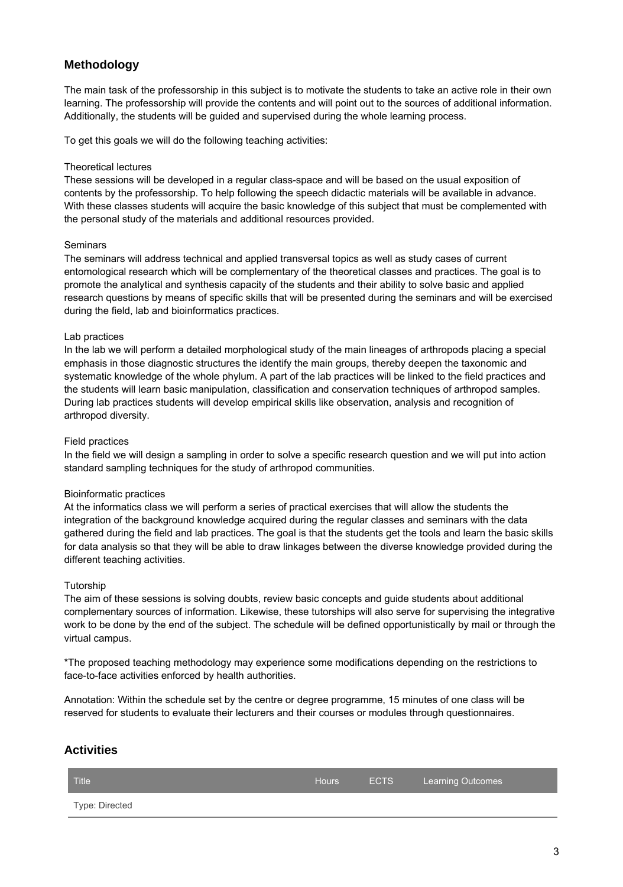# **Methodology**

The main task of the professorship in this subject is to motivate the students to take an active role in their own learning. The professorship will provide the contents and will point out to the sources of additional information. Additionally, the students will be guided and supervised during the whole learning process.

To get this goals we will do the following teaching activities:

#### Theoretical lectures

These sessions will be developed in a regular class-space and will be based on the usual exposition of contents by the professorship. To help following the speech didactic materials will be available in advance. With these classes students will acquire the basic knowledge of this subject that must be complemented with the personal study of the materials and additional resources provided.

#### **Seminars**

The seminars will address technical and applied transversal topics as well as study cases of current entomological research which will be complementary of the theoretical classes and practices. The goal is to promote the analytical and synthesis capacity of the students and their ability to solve basic and applied research questions by means of specific skills that will be presented during the seminars and will be exercised during the field, lab and bioinformatics practices.

#### Lab practices

In the lab we will perform a detailed morphological study of the main lineages of arthropods placing a special emphasis in those diagnostic structures the identify the main groups, thereby deepen the taxonomic and systematic knowledge of the whole phylum. A part of the lab practices will be linked to the field practices and the students will learn basic manipulation, classification and conservation techniques of arthropod samples. During lab practices students will develop empirical skills like observation, analysis and recognition of arthropod diversity.

#### Field practices

In the field we will design a sampling in order to solve a specific research question and we will put into action standard sampling techniques for the study of arthropod communities.

### Bioinformatic practices

At the informatics class we will perform a series of practical exercises that will allow the students the integration of the background knowledge acquired during the regular classes and seminars with the data gathered during the field and lab practices. The goal is that the students get the tools and learn the basic skills for data analysis so that they will be able to draw linkages between the diverse knowledge provided during the different teaching activities.

#### **Tutorship**

The aim of these sessions is solving doubts, review basic concepts and guide students about additional complementary sources of information. Likewise, these tutorships will also serve for supervising the integrative work to be done by the end of the subject. The schedule will be defined opportunistically by mail or through the virtual campus.

\*The proposed teaching methodology may experience some modifications depending on the restrictions to face-to-face activities enforced by health authorities.

Annotation: Within the schedule set by the centre or degree programme, 15 minutes of one class will be reserved for students to evaluate their lecturers and their courses or modules through questionnaires.

## **Activities**

| Title          | <b>Hours</b> | ECTS | Learning Outcomes |
|----------------|--------------|------|-------------------|
| Type: Directed |              |      |                   |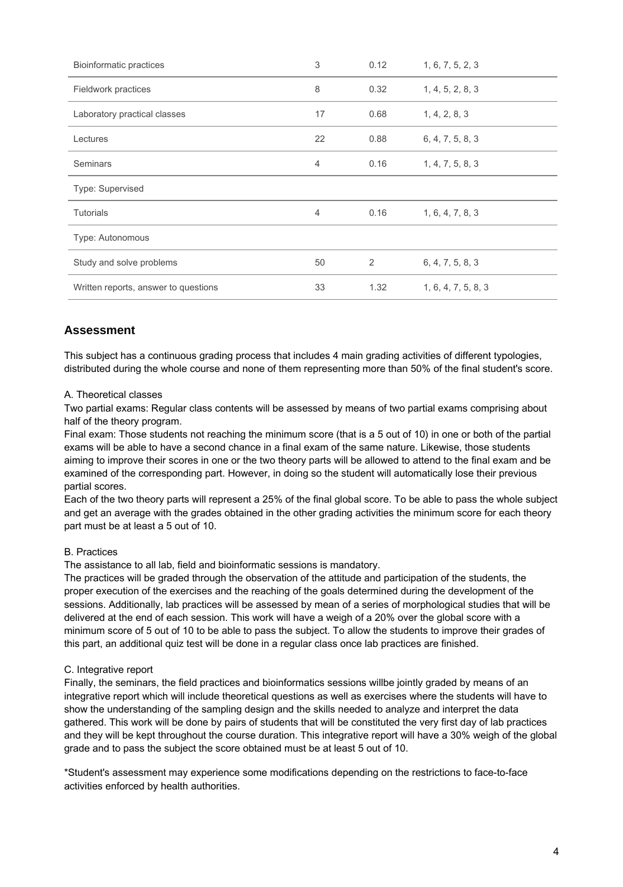| <b>Bioinformatic practices</b>       | 3              | 0.12 | 1, 6, 7, 5, 2, 3    |
|--------------------------------------|----------------|------|---------------------|
| Fieldwork practices                  | 8              | 0.32 | 1, 4, 5, 2, 8, 3    |
| Laboratory practical classes         | 17             | 0.68 | 1, 4, 2, 8, 3       |
| Lectures                             | 22             | 0.88 | 6, 4, 7, 5, 8, 3    |
| Seminars                             | $\overline{4}$ | 0.16 | 1, 4, 7, 5, 8, 3    |
| Type: Supervised                     |                |      |                     |
| <b>Tutorials</b>                     | $\overline{4}$ | 0.16 | 1, 6, 4, 7, 8, 3    |
| Type: Autonomous                     |                |      |                     |
| Study and solve problems             | 50             | 2    | 6, 4, 7, 5, 8, 3    |
| Written reports, answer to questions | 33             | 1.32 | 1, 6, 4, 7, 5, 8, 3 |

## **Assessment**

This subject has a continuous grading process that includes 4 main grading activities of different typologies, distributed during the whole course and none of them representing more than 50% of the final student's score.

#### A. Theoretical classes

Two partial exams: Regular class contents will be assessed by means of two partial exams comprising about half of the theory program.

Final exam: Those students not reaching the minimum score (that is a 5 out of 10) in one or both of the partial exams will be able to have a second chance in a final exam of the same nature. Likewise, those students aiming to improve their scores in one or the two theory parts will be allowed to attend to the final exam and be examined of the corresponding part. However, in doing so the student will automatically lose their previous partial scores.

Each of the two theory parts will represent a 25% of the final global score. To be able to pass the whole subject and get an average with the grades obtained in the other grading activities the minimum score for each theory part must be at least a 5 out of 10.

### B. Practices

The assistance to all lab, field and bioinformatic sessions is mandatory.

The practices will be graded through the observation of the attitude and participation of the students, the proper execution of the exercises and the reaching of the goals determined during the development of the sessions. Additionally, lab practices will be assessed by mean of a series of morphological studies that will be delivered at the end of each session. This work will have a weigh of a 20% over the global score with a minimum score of 5 out of 10 to be able to pass the subject. To allow the students to improve their grades of this part, an additional quiz test will be done in a regular class once lab practices are finished.

### C. Integrative report

Finally, the seminars, the field practices and bioinformatics sessions willbe jointly graded by means of an integrative report which will include theoretical questions as well as exercises where the students will have to show the understanding of the sampling design and the skills needed to analyze and interpret the data gathered. This work will be done by pairs of students that will be constituted the very first day of lab practices and they will be kept throughout the course duration. This integrative report will have a 30% weigh of the global grade and to pass the subject the score obtained must be at least 5 out of 10.

\*Student's assessment may experience some modifications depending on the restrictions to face-to-face activities enforced by health authorities.